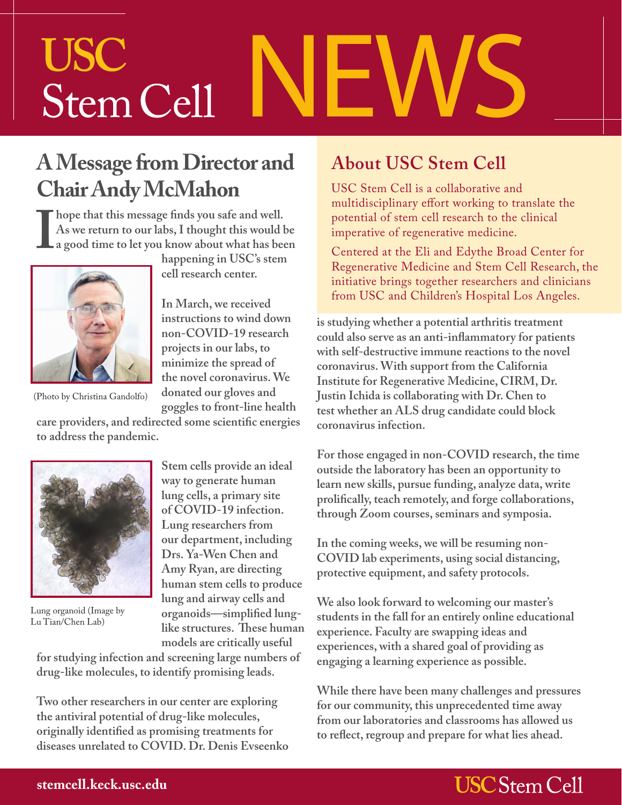# NEWS **USC** Stem Cell

#### **A Message from Director and Chair Andy McMahon**

Thope that this message finds you safe and well.<br>
As we return to our labs, I thought this would be a good time to let you know about what has been<br>
happening in USC's stem **As we return to our labs, I thought this would be a good time to let you know about what has been** 



(Photo by Christina Gandolfo)

**happening in USC's stem cell research center.**

**In March, we received instructions to wind down non-COVID-19 research projects in our labs, to minimize the spread of the novel coronavirus. We donated our gloves and goggles to front-line health** 

**care providers, and redirected some scientific energies to address the pandemic.** 



Lung organoid (Image by Lu Tian/Chen Lab)

**Stem cells provide an ideal way to generate human lung cells, a primary site of COVID-19 infection. Lung researchers from our department, including Drs. Ya-Wen Chen and Amy Ryan, are directing human stem cells to produce lung and airway cells and organoids—simplified lunglike structures. These human models are critically useful** 

**for studying infection and screening large numbers of drug-like molecules, to identify promising leads.**

**Two other researchers in our center are exploring the antiviral potential of drug-like molecules, originally identified as promising treatments for diseases unrelated to COVID. Dr. Denis Evseenko** 

#### **About USC Stem Cell**

USC Stem Cell is a collaborative and multidisciplinary effort working to translate the potential of stem cell research to the clinical imperative of regenerative medicine.

Centered at the Eli and Edythe Broad Center for Regenerative Medicine and Stem Cell Research, the initiative brings together researchers and clinicians from USC and Children's Hospital Los Angeles.

**is studying whether a potential arthritis treatment could also serve as an anti-inflammatory for patients with self-destructive immune reactions to the novel coronavirus. With support from the California Institute for Regenerative Medicine, CIRM, Dr. Justin Ichida is collaborating with Dr. Chen to test whether an ALS drug candidate could block coronavirus infection.** 

**For those engaged in non-COVID research, the time outside the laboratory has been an opportunity to learn new skills, pursue funding, analyze data, write prolifically, teach remotely, and forge collaborations, through Zoom courses, seminars and symposia.**

**In the coming weeks, we will be resuming non-COVID lab experiments, using social distancing, protective equipment, and safety protocols.** 

**We also look forward to welcoming our master's students in the fall for an entirely online educational experience. Faculty are swapping ideas and experiences, with a shared goal of providing as engaging a learning experience as possible.** 

**While there have been many challenges and pressures for our community, this unprecedented time away from our laboratories and classrooms has allowed us to reflect, regroup and prepare for what lies ahead.**

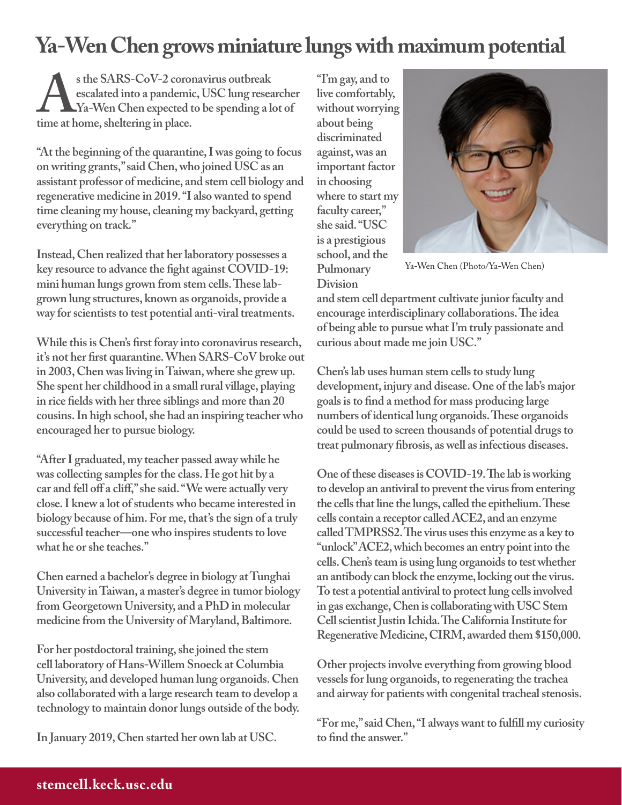#### **Ya-Wen Chen grows miniature lungs with maximum potential**

s the SARS-CoV-2 coronavirus outbreak<br>escalated into a pandemic, USC lung research with the at home, sheltering in place. **escalated into a pandemic, USC lung researcher Ya-Wen Chen expected to be spending a lot of time at home, sheltering in place.** 

**"At the beginning of the quarantine, I was going to focus on writing grants," said Chen, who joined USC as an assistant professor of medicine, and stem cell biology and regenerative medicine in 2019. "I also wanted to spend time cleaning my house, cleaning my backyard, getting everything on track."**

**Instead, Chen realized that her laboratory possesses a key resource to advance the fight against COVID-19: mini human lungs grown from stem cells. These labgrown lung structures, known as organoids, provide a way for scientists to test potential anti-viral treatments.** 

**While this is Chen's first foray into coronavirus research, it's not her first quarantine. When SARS-CoV broke out in 2003, Chen was living in Taiwan, where she grew up. She spent her childhood in a small rural village, playing in rice fields with her three siblings and more than 20 cousins. In high school, she had an inspiring teacher who encouraged her to pursue biology.** 

**"After I graduated, my teacher passed away while he was collecting samples for the class. He got hit by a car and fell off a cliff," she said. "We were actually very close. I knew a lot of students who became interested in biology because of him. For me, that's the sign of a truly successful teacher—one who inspires students to love what he or she teaches."**

**Chen earned a bachelor's degree in biology at Tunghai University in Taiwan, a master's degree in tumor biology from Georgetown University, and a PhD in molecular medicine from the University of Maryland, Baltimore.** 

**For her postdoctoral training, she joined the stem cell laboratory of Hans-Willem Snoeck at Columbia University, and developed human lung organoids. Chen also collaborated with a large research team to develop a technology to maintain donor lungs outside of the body.** 

**In January 2019, Chen started her own lab at USC.**

**"I'm gay, and to live comfortably, without worrying about being discriminated against, was an important factor in choosing where to start my faculty career," she said. "USC is a prestigious school, and the Pulmonary Division** 



Ya-Wen Chen (Photo/Ya-Wen Chen)

**and stem cell department cultivate junior faculty and encourage interdisciplinary collaborations. The idea of being able to pursue what I'm truly passionate and curious about made me join USC."** 

**Chen's lab uses human stem cells to study lung development, injury and disease. One of the lab's major goals is to find a method for mass producing large numbers of identical lung organoids. These organoids could be used to screen thousands of potential drugs to treat pulmonary fibrosis, as well as infectious diseases.**

**One of these diseases is COVID-19. The lab is working to develop an antiviral to prevent the virus from entering the cells that line the lungs, called the epithelium. These cells contain a receptor called ACE2, and an enzyme called TMPRSS2. The virus uses this enzyme as a key to "unlock" ACE2, which becomes an entry point into the cells. Chen's team is using lung organoids to test whether an antibody can block the enzyme, locking out the virus. To test a potential antiviral to protect lung cells involved in gas exchange, Chen is collaborating with USC Stem Cell scientist Justin Ichida. The California Institute for Regenerative Medicine, CIRM, awarded them \$150,000.** 

**Other projects involve everything from growing blood vessels for lung organoids, to regenerating the trachea and airway for patients with congenital tracheal stenosis.** 

**"For me," said Chen, "I always want to fulfill my curiosity to find the answer."**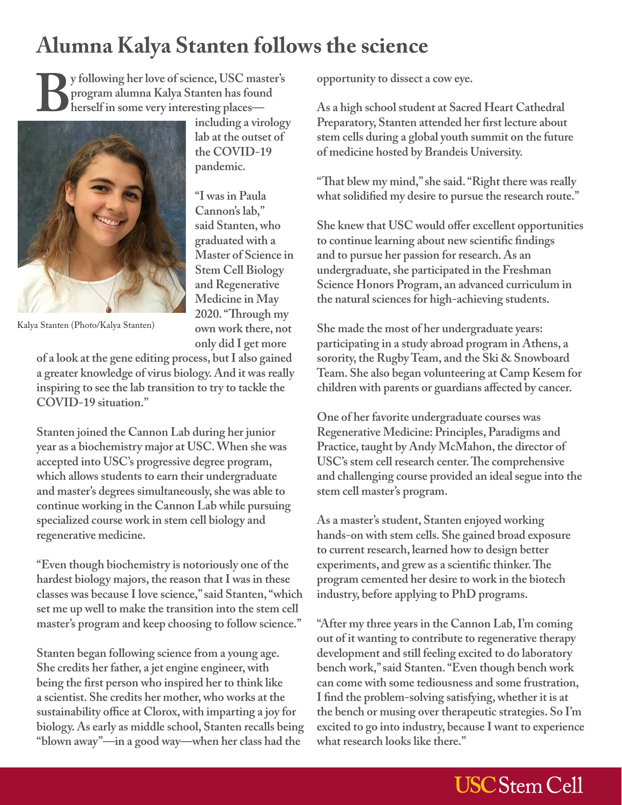### **Alumna Kalya Stanten follows the science**

**including a virology lab at the outset of the COVID-19 pandemic.**

**"I was in Paula Cannon's lab," said Stanten, who graduated with a Master of Science in Stem Cell Biology and Regenerative Medicine in May 2020. "Through my own work there, not** 

By following her love of science, USC master's<br>program alumna Kalya Stanten has found<br>herself in some very interesting places—<br>including a virology **program alumna Kalya Stanten has found herself in some very interesting places—**



Kalya Stanten (Photo/Kalya Stanten)

**only did I get more of a look at the gene editing process, but I also gained a greater knowledge of virus biology. And it was really inspiring to see the lab transition to try to tackle the COVID-19 situation."**

**Stanten joined the Cannon Lab during her junior year as a biochemistry major at USC. When she was accepted into USC's progressive degree program, which allows students to earn their undergraduate and master's degrees simultaneously, she was able to continue working in the Cannon Lab while pursuing specialized course work in stem cell biology and regenerative medicine.**

**"Even though biochemistry is notoriously one of the hardest biology majors, the reason that I was in these classes was because I love science," said Stanten, "which set me up well to make the transition into the stem cell master's program and keep choosing to follow science."**

**Stanten began following science from a young age. She credits her father, a jet engine engineer, with being the first person who inspired her to think like a scientist. She credits her mother, who works at the sustainability office at Clorox, with imparting a joy for biology. As early as middle school, Stanten recalls being "blown away"—in a good way—when her class had the** 

**opportunity to dissect a cow eye.**

**As a high school student at Sacred Heart Cathedral Preparatory, Stanten attended her first lecture about stem cells during a global youth summit on the future of medicine hosted by Brandeis University.**

**"That blew my mind," she said. "Right there was really what solidified my desire to pursue the research route."**

**She knew that USC would offer excellent opportunities to continue learning about new scientific findings and to pursue her passion for research. As an undergraduate, she participated in the Freshman Science Honors Program, an advanced curriculum in the natural sciences for high-achieving students.**

**She made the most of her undergraduate years: participating in a study abroad program in Athens, a sorority, the Rugby Team, and the Ski & Snowboard Team. She also began volunteering at Camp Kesem for children with parents or guardians affected by cancer.**

**One of her favorite undergraduate courses was Regenerative Medicine: Principles, Paradigms and Practice, taught by Andy McMahon, the director of USC's stem cell research center. The comprehensive and challenging course provided an ideal segue into the stem cell master's program.** 

**As a master's student, Stanten enjoyed working hands-on with stem cells. She gained broad exposure to current research, learned how to design better experiments, and grew as a scientific thinker. The program cemented her desire to work in the biotech industry, before applying to PhD programs.**

**"After my three years in the Cannon Lab, I'm coming out of it wanting to contribute to regenerative therapy development and still feeling excited to do laboratory bench work," said Stanten. "Even though bench work can come with some tediousness and some frustration, I find the problem-solving satisfying, whether it is at the bench or musing over therapeutic strategies. So I'm excited to go into industry, because I want to experience what research looks like there."**